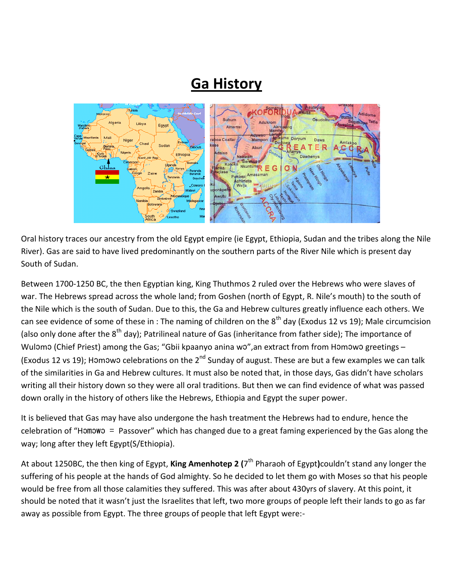## **Ga History**



Oral history traces our ancestry from the old Egypt empire (ie Egypt, Ethiopia, Sudan and the tribes along the Nile River). Gas are said to have lived predominantly on the southern parts of the River Nile which is present day South of Sudan.

Between 1700-1250 BC, the then Egyptian king, King Thuthmos 2 ruled over the Hebrews who were slaves of war. The Hebrews spread across the whole land; from Goshen (north of Egypt, R. Nile's mouth) to the south of the Nile which is the south of Sudan. Due to this, the Ga and Hebrew cultures greatly influence each others. We can see evidence of some of these in : The naming of children on the  $8<sup>th</sup>$  day (Exodus 12 vs 19); Male circumcision (also only done after the 8<sup>th</sup> day); Patrilineal nature of Gas (inheritance from father side); The importance of Wulomo (Chief Priest) among the Gas; "Gbii kpaanyo anina wo", an extract from from Homowo greetings -(Exodus 12 vs 19); Homowo celebrations on the  $2^{nd}$  Sunday of august. These are but a few examples we can talk of the similarities in Ga and Hebrew cultures. It must also be noted that, in those days, Gas didn't have scholars writing all their history down so they were all oral traditions. But then we can find evidence of what was passed down orally in the history of others like the Hebrews, Ethiopia and Egypt the super power.

It is believed that Gas may have also undergone the hash treatment the Hebrews had to endure, hence the celebration of "Hɔmɔwɔ = Passover" which has changed due to a great faming experienced by the Gas along the way; long after they left Egypt(S/Ethiopia).

At about 1250BC, the then king of Egypt, **King Amenhotep 2 (**7 th Pharaoh of Egypt**)**couldn't stand any longer the suffering of his people at the hands of God almighty. So he decided to let them go with Moses so that his people would be free from all those calamities they suffered. This was after about 430yrs of slavery. At this point, it should be noted that it wasn't just the Israelites that left, two more groups of people left their lands to go as far away as possible from Egypt. The three groups of people that left Egypt were:-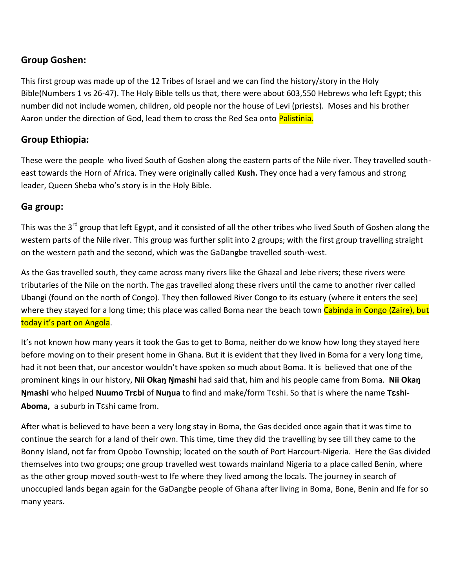## **Group Goshen:**

This first group was made up of the 12 Tribes of Israel and we can find the history/story in the Holy Bible(Numbers 1 vs 26-47). The Holy Bible tells us that, there were about 603,550 Hebrews who left Egypt; this number did not include women, children, old people nor the house of Levi (priests). Moses and his brother Aaron under the direction of God, lead them to cross the Red Sea onto Palistinia.

## **Group Ethiopia:**

These were the people who lived South of Goshen along the eastern parts of the Nile river. They travelled southeast towards the Horn of Africa. They were originally called **Kush.** They once had a very famous and strong leader, Queen Sheba who's story is in the Holy Bible.

## **Ga group:**

This was the 3<sup>rd</sup> group that left Egypt, and it consisted of all the other tribes who lived South of Goshen along the western parts of the Nile river. This group was further split into 2 groups; with the first group travelling straight on the western path and the second, which was the GaDangbe travelled south-west.

As the Gas travelled south, they came across many rivers like the Ghazal and Jebe rivers; these rivers were tributaries of the Nile on the north. The gas travelled along these rivers until the came to another river called Ubangi (found on the north of Congo). They then followed River Congo to its estuary (where it enters the see) where they stayed for a long time; this place was called Boma near the beach town Cabinda in Congo (Zaire), but today it's part on Angola.

It's not known how many years it took the Gas to get to Boma, neither do we know how long they stayed here before moving on to their present home in Ghana. But it is evident that they lived in Boma for a very long time, had it not been that, our ancestor wouldn't have spoken so much about Boma. It is believed that one of the prominent kings in our history, **Nii Okaŋ Ŋmashi** had said that, him and his people came from Boma. **Nii Okaŋ Ŋmashi** who helped **Nuumo Tr**ɛ**bi** of **Nuŋua** to find and make/form Tɛshi. So that is where the name **T**ɛ**shi-Aboma,** a suburb in Tɛshi came from.

After what is believed to have been a very long stay in Boma, the Gas decided once again that it was time to continue the search for a land of their own. This time, time they did the travelling by see till they came to the Bonny Island, not far from Opobo Township; located on the south of Port Harcourt-Nigeria. Here the Gas divided themselves into two groups; one group travelled west towards mainland Nigeria to a place called Benin, where as the other group moved south-west to Ife where they lived among the locals. The journey in search of unoccupied lands began again for the GaDangbe people of Ghana after living in Boma, Bone, Benin and Ife for so many years.